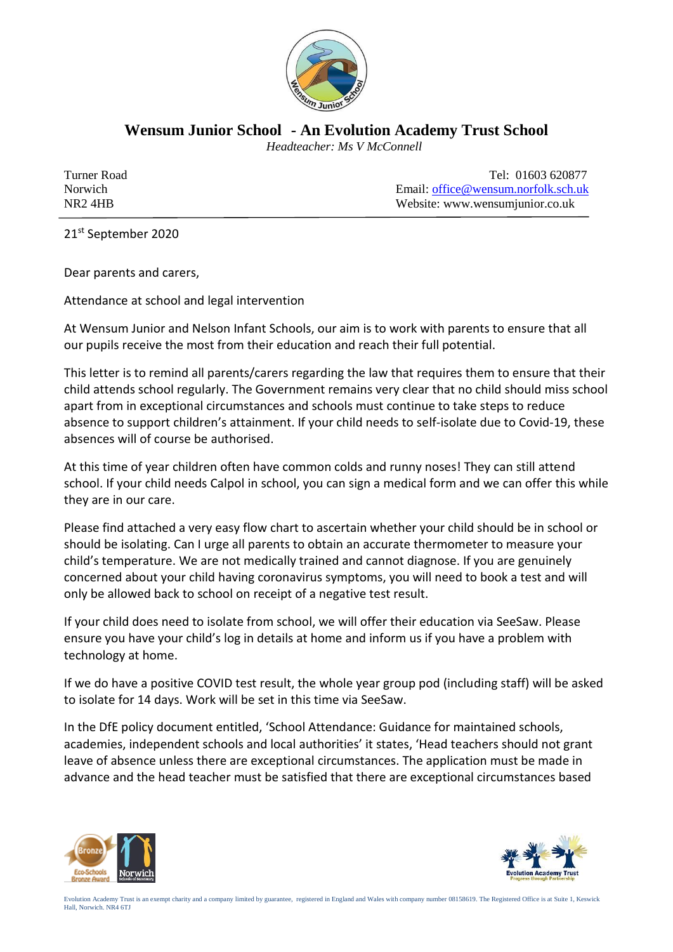

**Wensum Junior School - An Evolution Academy Trust School**

 *Headteacher: Ms V McConnell*

Turner Road Tel: 01603 620877 Norwich Email: [office@wensum.norfolk.sch.uk](mailto:office@wensum.norfolk.sch.uk) NR2 4HB Website: www.wensumjunior.co.uk

21st September 2020

Dear parents and carers,

Attendance at school and legal intervention

At Wensum Junior and Nelson Infant Schools, our aim is to work with parents to ensure that all our pupils receive the most from their education and reach their full potential.

This letter is to remind all parents/carers regarding the law that requires them to ensure that their child attends school regularly. The Government remains very clear that no child should miss school apart from in exceptional circumstances and schools must continue to take steps to reduce absence to support children's attainment. If your child needs to self-isolate due to Covid-19, these absences will of course be authorised.

At this time of year children often have common colds and runny noses! They can still attend school. If your child needs Calpol in school, you can sign a medical form and we can offer this while they are in our care.

Please find attached a very easy flow chart to ascertain whether your child should be in school or should be isolating. Can I urge all parents to obtain an accurate thermometer to measure your child's temperature. We are not medically trained and cannot diagnose. If you are genuinely concerned about your child having coronavirus symptoms, you will need to book a test and will only be allowed back to school on receipt of a negative test result.

If your child does need to isolate from school, we will offer their education via SeeSaw. Please ensure you have your child's log in details at home and inform us if you have a problem with technology at home.

If we do have a positive COVID test result, the whole year group pod (including staff) will be asked to isolate for 14 days. Work will be set in this time via SeeSaw.

In the DfE policy document entitled, 'School Attendance: Guidance for maintained schools, academies, independent schools and local authorities' it states, 'Head teachers should not grant leave of absence unless there are exceptional circumstances. The application must be made in advance and the head teacher must be satisfied that there are exceptional circumstances based